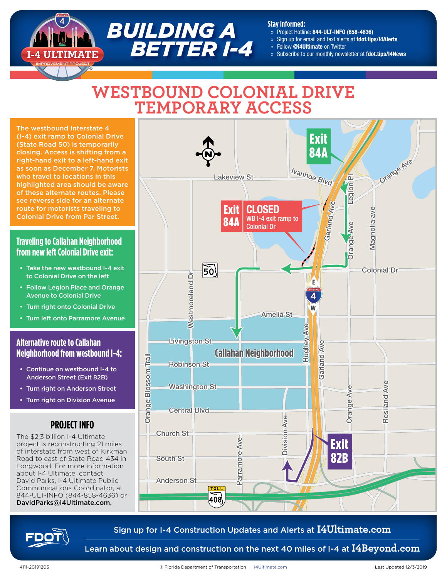#### **Stay Informed:**

- » Project Hotline: 844-ULT-INFO (858-4636)
- » Sign up for email and text alerts at fdot.tips/I4Alerts
- » Follow @i4Ultimate on Twitter
- Subscribe to our monthly newsletter at fdot.tips/I4News

# **WESTBOUND COLONIAL DRIVE TEMPORARY ACCESS**

*BUILDING A*

 *BETTER I-4*

The westbound Interstate 4 (I-4) exit ramp to Colonial Drive (State Road 50) is temporarily closing. Access is shifting from a right-hand exit to a left-hand exit as soon as December 7. Motorists who travel to locations in this highlighted area should be aware of these alternate routes. Please see reverse side for an alternate route for motorists traveling to Colonial Drive from Par Street.

### **Traveling to Callahan Neighborhood from new left Colonial Drive exit:**

- Take the new westbound I-4 exit to Colonial Drive on the left
- Follow Legion Place and Orange Avenue to Colonial Drive
- Turn right onto Colonial Drive
- Turn left onto Parramore Avenue

#### **Alternative route to Callahan Neighborhood from westbound I-4:**

- Continue on westbound I-4 to Anderson Street (Exit 82B)
- Turn right on Anderson Street
- Turn right on Division Avenue

## **PROJECT INFO**

The \$2.3 billion I-4 Ultimate project is reconstructing 21 miles of interstate from west of Kirkman Road to east of State Road 434 in Longwood. For more information about I-4 Ultimate, contact David Parks, I-4 Ultimate Public Communications Coordinator, at 844-ULT-INFO (844-858-4636) or DavidParks@i4Ultimate.com.





Sign up for I-4 Construction Updates and Alerts at **I4Ultimate.com**

Learn about design and construction on the next 40 miles of I-4 at **I4Beyond.com**